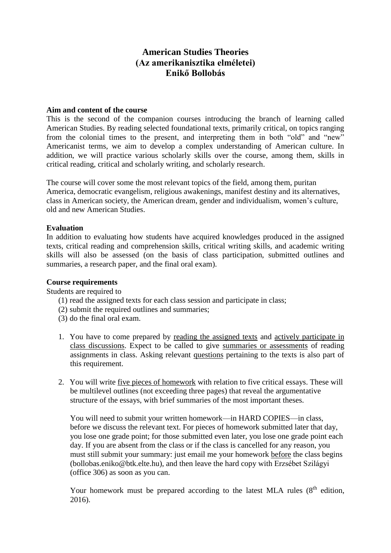# **American Studies Theories (Az amerikanisztika elméletei) Enikő Bollobás**

#### **Aim and content of the course**

This is the second of the companion courses introducing the branch of learning called American Studies. By reading selected foundational texts, primarily critical, on topics ranging from the colonial times to the present, and interpreting them in both "old" and "new" Americanist terms, we aim to develop a complex understanding of American culture. In addition, we will practice various scholarly skills over the course, among them, skills in critical reading, critical and scholarly writing, and scholarly research.

The course will cover some the most relevant topics of the field, among them, puritan America, democratic evangelism, religious awakenings, manifest destiny and its alternatives, class in American society, the American dream, gender and individualism, women's culture, old and new American Studies.

#### **Evaluation**

In addition to evaluating how students have acquired knowledges produced in the assigned texts, critical reading and comprehension skills, critical writing skills, and academic writing skills will also be assessed (on the basis of class participation, submitted outlines and summaries, a research paper, and the final oral exam).

#### **Course requirements**

Students are required to

- (1) read the assigned texts for each class session and participate in class;
- (2) submit the required outlines and summaries;
- (3) do the final oral exam.
- 1. You have to come prepared by reading the assigned texts and actively participate in class discussions. Expect to be called to give summaries or assessments of reading assignments in class. Asking relevant questions pertaining to the texts is also part of this requirement.
- 2. You will write five pieces of homework with relation to five critical essays. These will be multilevel outlines (not exceeding three pages) that reveal the argumentative structure of the essays, with brief summaries of the most important theses.

You will need to submit your written homework—in HARD COPIES—in class, before we discuss the relevant text. For pieces of homework submitted later that day, you lose one grade point; for those submitted even later, you lose one grade point each day. If you are absent from the class or if the class is cancelled for any reason, you must still submit your summary: just email me your homework before the class begins (bollobas.eniko@btk.elte.hu), and then leave the hard copy with Erzsébet Szilágyi (office 306) as soon as you can.

Your homework must be prepared according to the latest MLA rules (8<sup>th</sup> edition, 2016).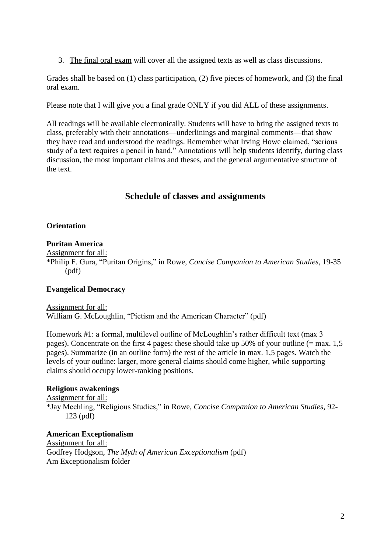3. The final oral exam will cover all the assigned texts as well as class discussions.

Grades shall be based on (1) class participation, (2) five pieces of homework, and (3) the final oral exam.

Please note that I will give you a final grade ONLY if you did ALL of these assignments.

All readings will be available electronically. Students will have to bring the assigned texts to class, preferably with their annotations—underlinings and marginal comments—that show they have read and understood the readings. Remember what Irving Howe claimed, "serious study of a text requires a pencil in hand." Annotations will help students identify, during class discussion, the most important claims and theses, and the general argumentative structure of the text.

## **Schedule of classes and assignments**

### **Orientation**

## **Puritan America**

Assignment for all:

\*Philip F. Gura, "Puritan Origins," in Rowe, *Concise Companion to American Studies*, 19-35 (pdf)

#### **Evangelical Democracy**

Assignment for all: William G. McLoughlin, "Pietism and the American Character" (pdf)

Homework #1: a formal, multilevel outline of McLoughlin's rather difficult text (max 3 pages). Concentrate on the first 4 pages: these should take up 50% of your outline (= max. 1,5 pages). Summarize (in an outline form) the rest of the article in max. 1,5 pages. Watch the levels of your outline: larger, more general claims should come higher, while supporting claims should occupy lower-ranking positions.

#### **Religious awakenings**

Assignment for all: \*Jay Mechling, "Religious Studies," in Rowe, *Concise Companion to American Studies*, 92- 123 (pdf)

**American Exceptionalism** Assignment for all: Godfrey Hodgson, *The Myth of American Exceptionalism* (pdf) Am Exceptionalism folder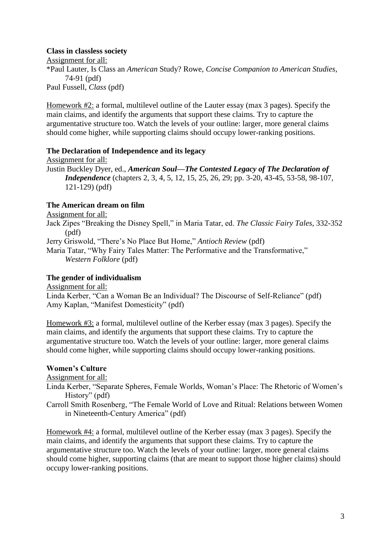### **Class in classless society**

Assignment for all: \*Paul Lauter, Is Class an *American* Study? Rowe, *Concise Companion to American Studies*, 74-91 (pdf) Paul Fussell, *Class* (pdf)

Homework #2: a formal, multilevel outline of the Lauter essay (max 3 pages). Specify the main claims, and identify the arguments that support these claims. Try to capture the argumentative structure too. Watch the levels of your outline: larger, more general claims should come higher, while supporting claims should occupy lower-ranking positions.

## **The Declaration of Independence and its legacy**

Assignment for all: Justin Buckley Dyer, ed., *American Soul—The Contested Legacy of The Declaration of Independence* (chapters 2, 3, 4, 5, 12, 15, 25, 26, 29; pp. 3-20, 43-45, 53-58, 98-107, 121-129) (pdf)

## **The American dream on film**

Assignment for all:

Jack Zipes "Breaking the Disney Spell," in Maria Tatar, ed. *The Classic Fairy Tales*, 332-352 (pdf)

Jerry Griswold, "There's No Place But Home," *Antioch Review* (pdf)

Maria Tatar, "Why Fairy Tales Matter: The Performative and the Transformative," *Western Folklore* (pdf)

## **The gender of individualism**

Assignment for all:

Linda Kerber, "Can a Woman Be an Individual? The Discourse of Self-Reliance" (pdf) Amy Kaplan, "Manifest Domesticity" (pdf)

Homework #3: a formal, multilevel outline of the Kerber essay (max 3 pages). Specify the main claims, and identify the arguments that support these claims. Try to capture the argumentative structure too. Watch the levels of your outline: larger, more general claims should come higher, while supporting claims should occupy lower-ranking positions.

## **Women's Culture**

Assignment for all:

Linda Kerber, "Separate Spheres, Female Worlds, Woman's Place: The Rhetoric of Women's History" (pdf)

Carroll Smith Rosenberg, "The Female World of Love and Ritual: Relations between Women in Nineteenth-Century America" (pdf)

Homework #4: a formal, multilevel outline of the Kerber essay (max 3 pages). Specify the main claims, and identify the arguments that support these claims. Try to capture the argumentative structure too. Watch the levels of your outline: larger, more general claims should come higher, supporting claims (that are meant to support those higher claims) should occupy lower-ranking positions.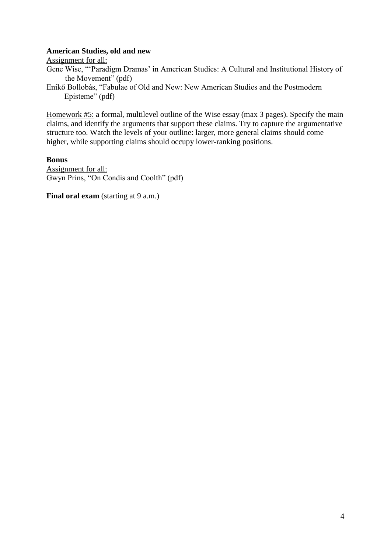#### **American Studies, old and new**

Assignment for all:

Gene Wise, "'Paradigm Dramas' in American Studies: A Cultural and Institutional History of the Movement" (pdf)

Enikő Bollobás, "Fabulae of Old and New: New American Studies and the Postmodern Episteme" (pdf)

Homework #5: a formal, multilevel outline of the Wise essay (max 3 pages). Specify the main claims, and identify the arguments that support these claims. Try to capture the argumentative structure too. Watch the levels of your outline: larger, more general claims should come higher, while supporting claims should occupy lower-ranking positions.

**Bonus**

Assignment for all: Gwyn Prins, "On Condis and Coolth" (pdf)

**Final oral exam** (starting at 9 a.m.)